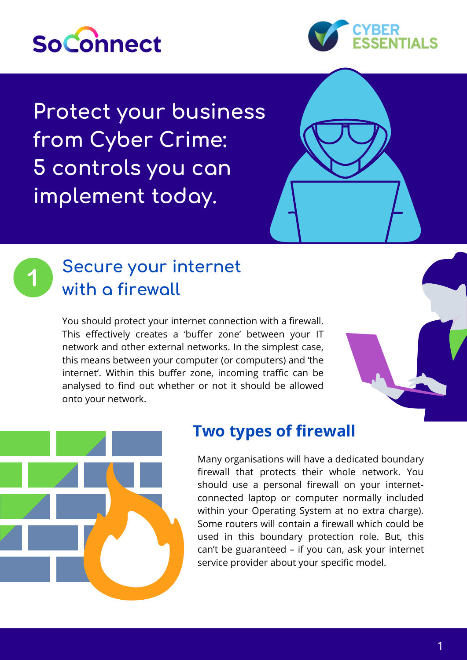



**Protect your business from Cyber Crime: 5 controls you can implement today.**



You should protect your internet connection with a firewall. This effectively creates a 'buffer zone' between your IT network and other external networks. In the simplest case, this means between your computer (or computers) and 'the internet'. Within this buffer zone, incoming traffic can be analysed to find out whether or not it should be allowed onto your network.





### **Two types of firewall**

Many organisations will have a dedicated boundary firewall that protects their whole network. You should use a personal firewall on your internetconnected laptop or computer normally included within your Operating System at no extra charge). Some routers will contain a firewall which could be used in this boundary protection role. But, this can't be guaranteed – if you can, ask your internet service provider about your specific model.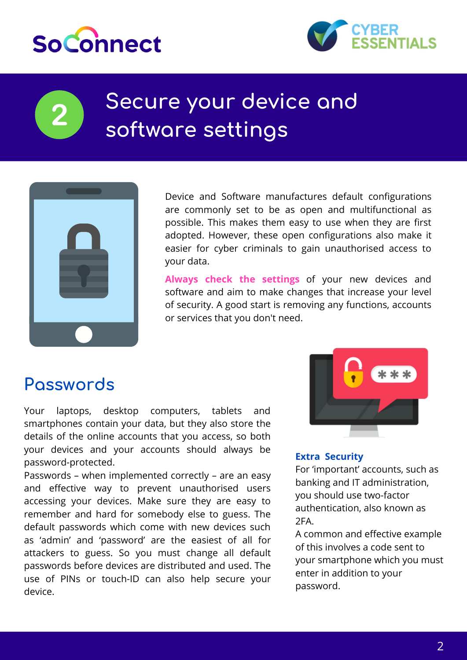



# **Secure your device and software settings**



Device and Software manufactures default configurations are commonly set to be as open and multifunctional as possible. This makes them easy to use when they are first adopted. However, these open configurations also make it easier for cyber criminals to gain unauthorised access to your data.

**Always check the settings** of your new devices and software and aim to make changes that increase your level of security. A good start is removing any functions, accounts or services that you don't need.

# **Passwords**

Your laptops, desktop computers, tablets and smartphones contain your data, but they also store the details of the online accounts that you access, so both your devices and your accounts should always be password-protected.

Passwords – when implemented correctly – are an easy and effective way to prevent unauthorised users accessing your devices. Make sure they are easy to remember and hard for somebody else to guess. The default passwords which come with new devices such as 'admin' and 'password' are the easiest of all for attackers to guess. So you must change all default passwords before devices are distributed and used. The use of PINs or touch-ID can also help secure your device.



### **Extra Security**

For 'important' accounts, such as banking and IT administration, you should use two-factor authentication, also known as 2FA.

A common and effective example of this involves a code sent to your smartphone which you must enter in addition to your password.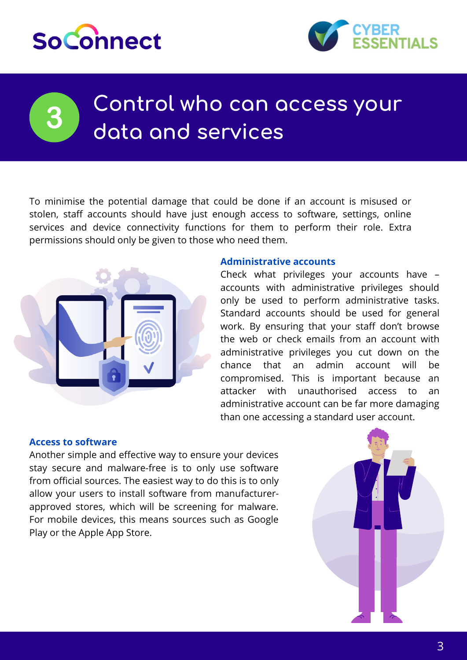# **So**Connect



# **Control who can access your data and services**

To minimise the potential damage that could be done if an account is misused or stolen, staff accounts should have just enough access to software, settings, online services and device connectivity functions for them to perform their role. Extra permissions should only be given to those who need them.



#### **Administrative accounts**

Check what privileges your accounts have – accounts with administrative privileges should only be used to perform administrative tasks. Standard accounts should be used for general work. By ensuring that your staff don't browse the web or check emails from an account with administrative privileges you cut down on the chance that an admin account will be compromised. This is important because an attacker with unauthorised access to an administrative account can be far more damaging than one accessing a standard user account.

### **Access to software**

Another simple and effective way to ensure your devices stay secure and malware-free is to only use software from official sources. The easiest way to do this is to only allow your users to install software from manufacturerapproved stores, which will be screening for malware. For mobile devices, this means sources such as Google Play or the Apple App Store.

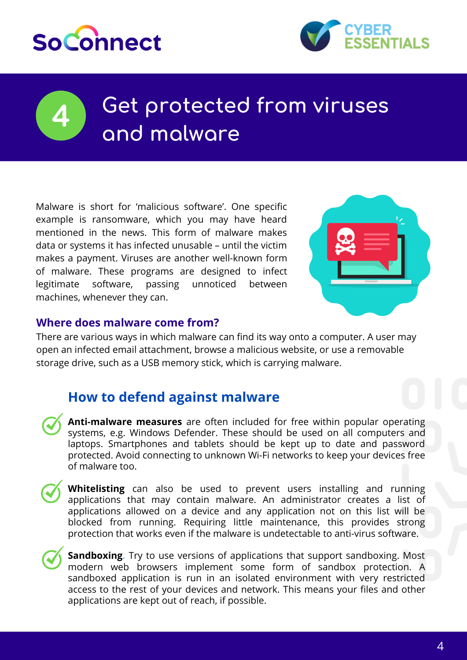



# **Get protected from viruses and malware**

Malware is short for 'malicious software'. One specific example is ransomware, which you may have heard mentioned in the news. This form of malware makes data or systems it has infected unusable – until the victim makes a payment. Viruses are another well-known form of malware. These programs are designed to infect legitimate software, passing unnoticed between machines, whenever they can.



### **Where does malware come from?**

There are various ways in which malware can find its way onto a computer. A user may open an infected email attachment, browse a malicious website, or use a removable storage drive, such as a USB memory stick, which is carrying malware.

### **How to defend against malware**

- **Anti-malware measures** are often included for free within popular operating systems, e.g. Windows Defender. These should be used on all computers and laptops. Smartphones and tablets should be kept up to date and password protected. Avoid connecting to unknown Wi-Fi networks to keep your devices free of malware too.
- 

**Whitelisting** can also be used to prevent users installing and running applications that may contain malware. An administrator creates a list of applications allowed on a device and any application not on this list will be blocked from running. Requiring little maintenance, this provides strong protection that works even if the malware is undetectable to anti-virus software.

**Sandboxing.** Try to use versions of applications that support sandboxing. Most modern web browsers implement some form of sandbox protection. A sandboxed application is run in an isolated environment with very restricted access to the rest of your devices and network. This means your files and other applications are kept out of reach, if possible.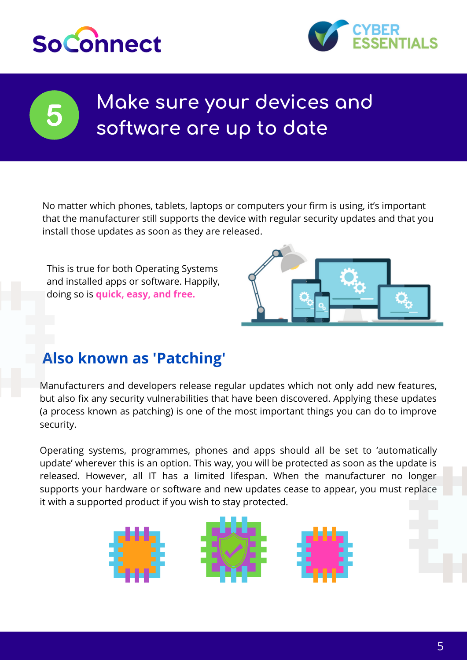



# **Make sure your devices and software are up to date**

No matter which phones, tablets, laptops or computers your firm is using, it's important that the manufacturer still supports the device with regular security updates and that you install those updates as soon as they are released.

This is true for both Operating Systems and installed apps or software. Happily, doing so is **quick, easy, and free.**



## **Also known as 'Patching'**

Manufacturers and developers release regular updates which not only add new features, but also fix any security vulnerabilities that have been discovered. Applying these updates (a process known as patching) is one of the most important things you can do to improve security.

Operating systems, programmes, phones and apps should all be set to 'automatically update' wherever this is an option. This way, you will be protected as soon as the update is released. However, all IT has a limited lifespan. When the manufacturer no longer supports your hardware or software and new updates cease to appear, you must replace it with a supported product if you wish to stay protected.

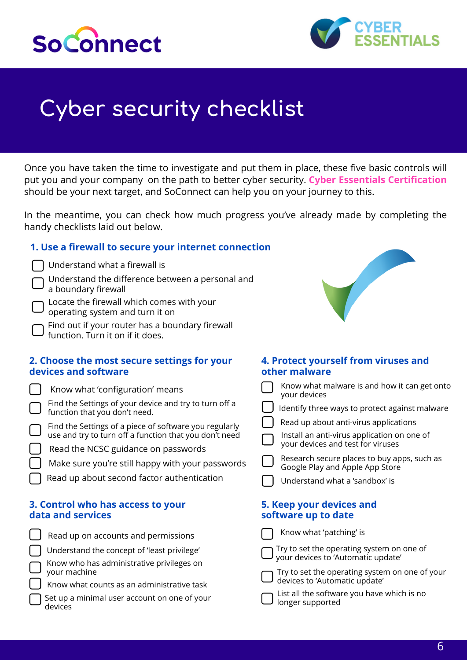



# **Cyber security checklist**

Once you have taken the time to investigate and put them in place, these five basic controls will put you and your company on the path to better cyber security. **Cyber Essentials Certification** should be your next target, and SoConnect can help you on your journey to this.

In the meantime, you can check how much progress you've already made by completing the handy checklists laid out below.

#### **1. Use a firewall to secure your internet connection**

 $\mathbf{I}$ 

Understand the difference between a personal and a boundary firewall

Locate the firewall which comes with your operating system and turn it on

Find out if your router has a boundary firewall function. Turn it on if it does.

#### **2. Choose the most secure settings for your devices and software**

| Know what 'configuration' means                        |
|--------------------------------------------------------|
| Find the Settings of your device and try to turn off a |
| function that you don't need.                          |

| Find the Settings of a piece of software you regularly |
|--------------------------------------------------------|
| use and try to turn off a function that you don't need |

Read the NCSC guidance on passwords

| Make sure you're still happy with your passwords |  |  |
|--------------------------------------------------|--|--|
|                                                  |  |  |

Read up about second factor authentication

### **3. Control who has access to your data and services**

| Read up on accounts and permissions                            | Know what 'patching' is                                                                        |
|----------------------------------------------------------------|------------------------------------------------------------------------------------------------|
| Understand the concept of 'least privilege'                    | $\Box$ Try to set the operating system on one of your devices to 'Automatic update'            |
| Show who has administrative privileges on<br>your machine      |                                                                                                |
| $\Box$ Know what counts as an administrative task              | $\Box$ Try to set the operating system on one of devices to 'Automatic update'                 |
| $\int$ Set up a minimal user account on one of your<br>devices | $\Box$ List all the software you have which is no<br>$\overline{\phantom{a}}$ longer supported |



### **4. Protect yourself from viruses and other malware**

|                                                 | Know what malware is and how it can get onto<br>your devices                     |  |  |  |
|-------------------------------------------------|----------------------------------------------------------------------------------|--|--|--|
|                                                 | Identify three ways to protect against malware                                   |  |  |  |
|                                                 | Read up about anti-virus applications                                            |  |  |  |
|                                                 | Install an anti-virus application on one of<br>your devices and test for viruses |  |  |  |
|                                                 | Research secure places to buy apps, such as<br>Google Play and Apple App Store   |  |  |  |
|                                                 | Understand what a 'sandbox' is                                                   |  |  |  |
| 5. Keep your devices and<br>software up to date |                                                                                  |  |  |  |
|                                                 | Know what 'natching' ic                                                          |  |  |  |

of your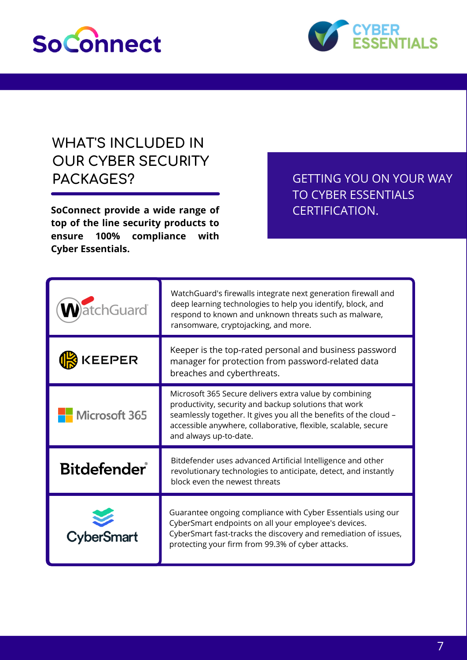



## **WHAT'S INCLUDED IN OUR CYBER SECURITY** PACKAGES? GETTING YOU ON YOUR WAY

**SoConnect provide a wide range of top of the line security products to ensure 100% compliance with Cyber Essentials.**

TO CYBER ESSENTIALS CERTIFICATION.

| tchGuard           | WatchGuard's firewalls integrate next generation firewall and<br>deep learning technologies to help you identify, block, and<br>respond to known and unknown threats such as malware,<br>ransomware, cryptojacking, and more.                                                    |
|--------------------|----------------------------------------------------------------------------------------------------------------------------------------------------------------------------------------------------------------------------------------------------------------------------------|
| <b>EEPER</b>       | Keeper is the top-rated personal and business password<br>manager for protection from password-related data<br>breaches and cyberthreats.                                                                                                                                        |
| Microsoft 365      | Microsoft 365 Secure delivers extra value by combining<br>productivity, security and backup solutions that work<br>seamlessly together. It gives you all the benefits of the cloud -<br>accessible anywhere, collaborative, flexible, scalable, secure<br>and always up-to-date. |
| <b>Bitdefender</b> | Bitdefender uses advanced Artificial Intelligence and other<br>revolutionary technologies to anticipate, detect, and instantly<br>block even the newest threats                                                                                                                  |
|                    | Guarantee ongoing compliance with Cyber Essentials using our<br>CyberSmart endpoints on all your employee's devices.<br>CyberSmart fast-tracks the discovery and remediation of issues,<br>protecting your firm from 99.3% of cyber attacks.                                     |